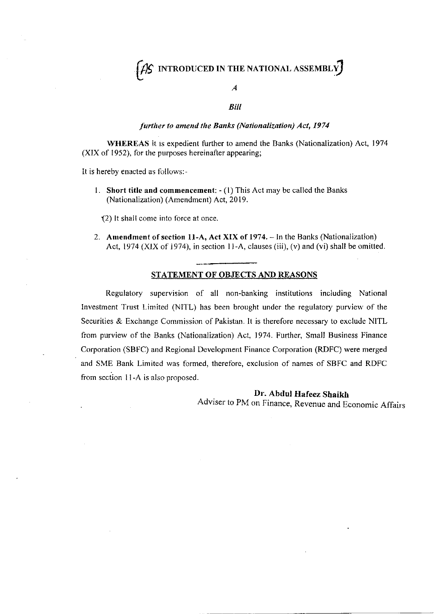

**Bill** 

 $\overline{\mathcal{A}}$ 

## further to amend the Banks (Nationalization) Act, 1974

WHEREAS it is expedient further to amend the Banks (Nationalization) Act, 1974 (XIX of 1952), for the purposes hereinafter appearing;

It is hereby enacted as follows:-

1. Short title and commencement: - (1) This Act may be called the Banks (Nationalization) (Amendment) Act, 2019.

(2) It shall come into force at once.

2. Amendment of section 11-A, Act XIX of 1974. - In the Banks (Nationalization) Act, 1974 (XIX of 1974), in section 11-A, clauses (iii), (v) and (vi) shall be omitted.

## STATEMENT OF OBJECTS AND REASONS

Regulatory supervision of all non-banking institutions including National Investment Trust Limited (NITL) has been brought under the regulatory purview of the Securities & Exchange Commission of Pakistan. It is therefore necessary to exclude NITL from purview of the Banks (Nationalization) Act, 1974. Further, Small Business Finance Corporation (SBFC) and Regional Development Finance Corporation (RDFC) were merged and SME Bank Limited was formed, therefore, exclusion of names of SBFC and RDFC from section 11-A is also proposed.

Dr. Abdul Hafeez Shaikh

Adviser to PM on Finance, Revenue and Economic Affairs